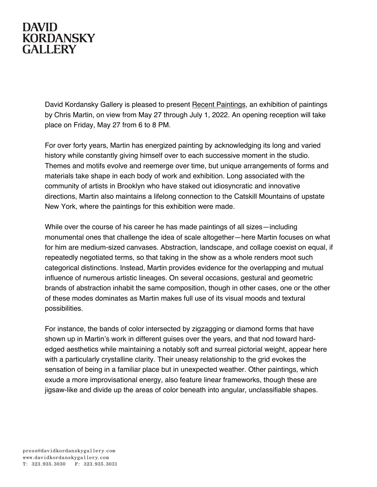## **DAVID KORDANSKY GALLERY**

David Kordansky Gallery is pleased to present Recent Paintings, an exhibition of paintings by Chris Martin, on view from May 27 through July 1, 2022. An opening reception will take place on Friday, May 27 from 6 to 8 PM.

For over forty years, Martin has energized painting by acknowledging its long and varied history while constantly giving himself over to each successive moment in the studio. Themes and motifs evolve and reemerge over time, but unique arrangements of forms and materials take shape in each body of work and exhibition. Long associated with the community of artists in Brooklyn who have staked out idiosyncratic and innovative directions, Martin also maintains a lifelong connection to the Catskill Mountains of upstate New York, where the paintings for this exhibition were made.

While over the course of his career he has made paintings of all sizes—including monumental ones that challenge the idea of scale altogether—here Martin focuses on what for him are medium-sized canvases. Abstraction, landscape, and collage coexist on equal, if repeatedly negotiated terms, so that taking in the show as a whole renders moot such categorical distinctions. Instead, Martin provides evidence for the overlapping and mutual influence of numerous artistic lineages. On several occasions, gestural and geometric brands of abstraction inhabit the same composition, though in other cases, one or the other of these modes dominates as Martin makes full use of its visual moods and textural possibilities.

For instance, the bands of color intersected by zigzagging or diamond forms that have shown up in Martin's work in different guises over the years, and that nod toward hardedged aesthetics while maintaining a notably soft and surreal pictorial weight, appear here with a particularly crystalline clarity. Their uneasy relationship to the grid evokes the sensation of being in a familiar place but in unexpected weather. Other paintings, which exude a more improvisational energy, also feature linear frameworks, though these are jigsaw-like and divide up the areas of color beneath into angular, unclassifiable shapes.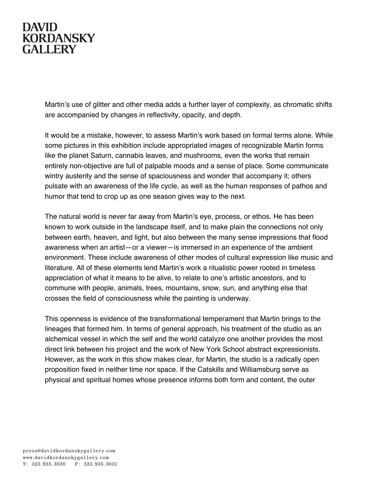## **DAVID KORDANSKY GALLERY**

Martin's use of glitter and other media adds a further layer of complexity, as chromatic shifts are accompanied by changes in reflectivity, opacity, and depth.

It would be a mistake, however, to assess Martin's work based on formal terms alone. While some pictures in this exhibition include appropriated images of recognizable Martin forms like the planet Saturn, cannabis leaves, and mushrooms, even the works that remain entirely non-objective are full of palpable moods and a sense of place. Some communicate wintry austerity and the sense of spaciousness and wonder that accompany it; others pulsate with an awareness of the life cycle, as well as the human responses of pathos and humor that tend to crop up as one season gives way to the next.

The natural world is never far away from Martin's eye, process, or ethos. He has been known to work outside in the landscape itself, and to make plain the connections not only between earth, heaven, and light, but also between the many sense impressions that flood awareness when an artist—or a viewer—is immersed in an experience of the ambient environment. These include awareness of other modes of cultural expression like music and literature. All of these elements lend Martin's work a ritualistic power rooted in timeless appreciation of what it means to be alive, to relate to one's artistic ancestors, and to commune with people, animals, trees, mountains, snow, sun, and anything else that crosses the field of consciousness while the painting is underway.

This openness is evidence of the transformational temperament that Martin brings to the lineages that formed him. In terms of general approach, his treatment of the studio as an alchemical vessel in which the self and the world catalyze one another provides the most direct link between his project and the work of New York School abstract expressionists. However, as the work in this show makes clear, for Martin, the studio is a radically open proposition fixed in neither time nor space. If the Catskills and Williamsburg serve as physical and spiritual homes whose presence informs both form and content, the outer